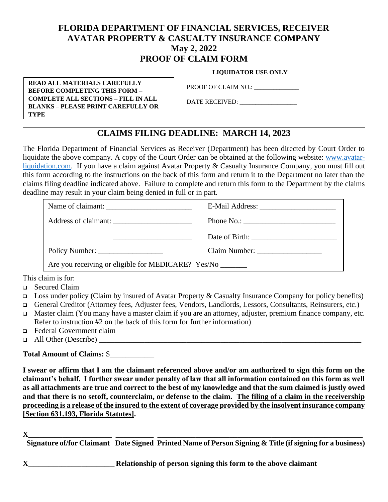# **FLORIDA DEPARTMENT OF FINANCIAL SERVICES, RECEIVER AVATAR PROPERTY & CASUALTY INSURANCE COMPANY May 2, 2022 PROOF OF CLAIM FORM**

 **LIQUIDATOR USE ONLY**

**READ ALL MATERIALS CAREFULLY BEFORE COMPLETING THIS FORM – COMPLETE ALL SECTIONS – FILL IN ALL BLANKS – PLEASE PRINT CAREFULLY OR TYPE**

PROOF OF CLAIM NO.: \_\_\_\_\_\_\_\_\_\_\_\_\_\_

DATE RECEIVED: \_\_\_\_\_\_\_\_\_\_\_\_\_\_\_\_\_\_

# **CLAIMS FILING DEADLINE: MARCH 14, 2023**

The Florida Department of Financial Services as Receiver (Department) has been directed by Court Order to liquidate the above company. A copy of the Court Order can be obtained at the following website: [www.avatar](http://www.avatar-liquidation.com/)[liquidation.com.](http://www.avatar-liquidation.com/) If you have a claim against Avatar Property & Casualty Insurance Company, you must fill out this form according to the instructions on the back of this form and return it to the Department no later than the claims filing deadline indicated above. Failure to complete and return this form to the Department by the claims deadline may result in your claim being denied in full or in part.

|                                                              | Phone No.: $\frac{1}{2}$         |
|--------------------------------------------------------------|----------------------------------|
|                                                              |                                  |
|                                                              | Claim Number: __________________ |
| Are you receiving or eligible for MEDICARE? Yes/No _________ |                                  |

This claim is for:

- ❑ Secured Claim
- □ Loss under policy (Claim by insured of Avatar Property  $&$  Casualty Insurance Company for policy benefits)
- ❑ General Creditor (Attorney fees, Adjuster fees, Vendors, Landlords, Lessors, Consultants, Reinsurers, etc.)
- ❑ Master claim (You many have a master claim if you are an attorney, adjuster, premium finance company, etc. Refer to instruction #2 on the back of this form for further information)
- ❑ Federal Government claim
- $\Box$  All Other (Describe)

## **Total Amount of Claims:** \$\_\_\_\_\_\_\_\_\_\_\_\_\_\_

**I swear or affirm that I am the claimant referenced above and/or am authorized to sign this form on the claimant's behalf. I further swear under penalty of law that all information contained on this form as well as all attachments are true and correct to the best of my knowledge and that the sum claimed is justly owed and that there is no setoff, counterclaim, or defense to the claim. The filing of a claim in the receivership proceeding is a release of the insured to the extent of coverage provided by the insolvent insurance company [Section 631.193, Florida Statutes].**

**X\_\_\_\_\_\_\_\_\_\_\_\_\_\_\_\_\_\_\_\_\_\_ \_\_\_\_\_\_\_\_\_\_ \_\_\_\_\_\_\_\_\_\_\_\_\_\_\_\_\_\_\_\_\_\_\_\_\_\_\_\_\_\_\_\_\_\_\_\_\_\_\_\_\_\_\_\_\_\_\_\_\_\_\_\_\_\_**

**Signature of/for Claimant Date Signed Printed Name of Person Signing & Title (if signing for a business)**

**X**\_\_\_\_\_\_\_\_\_\_\_\_\_\_\_\_\_\_\_\_\_\_\_\_\_\_\_\_\_\_\_\_\_\_ **Relationship of person signing this form to the above claimant**